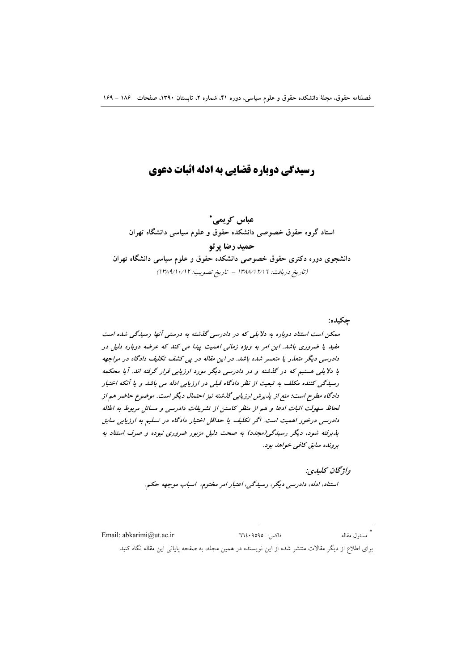# **رسیدگی دوباره قضایی به ادله اثبات دعوی**

عباس کريمي<sup>\*</sup> استاد گروه حقوق خصوصی دانشکده حقوق و علوم سیاسی دانشگاه تهران **حميد رضا پرتو** دانشجوی دوره دکتری حقوق خصوصی دانشکده حقوق و علوم سیاسی دانشگاه تهران (تاریخ دریافت: ١٣٨٨/١٢/١٦ – تاریخ تصویب: ١٣٨٩/١٠/١٢)

چکیده:

**% & -! ' -! () (&\* -! ! ( -+, () !) - % ./0** مفید یا ضروری باشد. این امر به ویژه زمانی اهمیت پیدا می کند که عرضه دوباره دلیل در دادرسی دیگر متعذر یا متعسر شده باشد. در *این مقاله در پی کشف تکلیف دادگاه در مواجهه* با دلایلی هستیم که در گذشته و در دادرسی دیگر مورد *ارزیابی قرار گرفته اند. آیا محک*مه رسیدگی کننده مکلف به تبعیت از نظر دادگاه قبلی در ارزیابی ادله می باشد و یا آنکه اختیار دادگاه مطرح است؛ منع از پذیرش ارزیابی گذشته نیز احتمال دیگر است. موضوع حاضر هم از  $\bm{b}$ لحاظ سهولت اثبات ادعا و هم از منظر کاستن از تشریفات دادرسی و مسائل مربوط به اطاله دادرسی درخور اهمیت است. اگر تکلیف یا ح*داقل اختیار دادگاه در تسلیم به ارزیابی سابق* پذیرفته شود، دیگر رسیدگ<sub>ی</sub>(مجدد) به صحت دلیل مزبور ضروری نبوده و صرف استناد به **پرونده سابق کافی خواهد بود.** 

> واژ**گان ك**ليدي: استناد، ادله، دادرسی دیگر، رسیدگی، اعتبار امر مختوم، اسباب موجهه حکم.

 Email: abkarimi@ut.ac.ir <sup>66409595</sup> : ! برای اطلاع از دیگر مقالات منتشر شده از این نویسنده در همین مجله، به صفحه پایانی این مقاله نگاه کنید.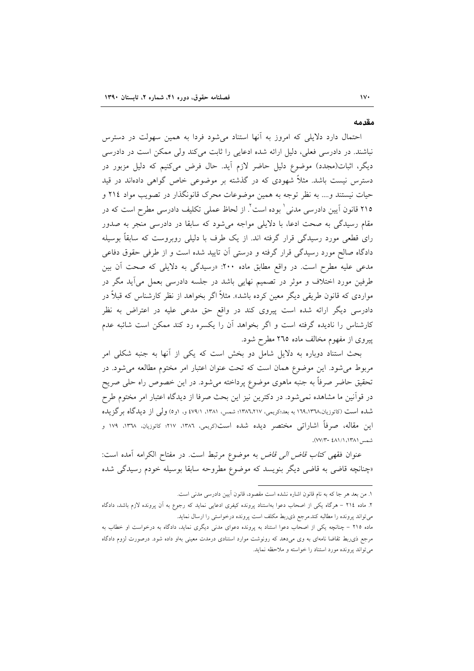#### مقدمه

احتمال دارد دلایلی که امروز به آنها استناد می شود فردا به همین سهولت در دسترس نباشند. در دادرسی فعلی، دلیل ارائه شده ادعایی را ثابت میکند ولی ممکن است در دادرسی دیگر، اثبات(مجدد) موضوع دلیل حاضر لازم آید. حال فرض میکنیم که دلیل مزبور در دسترس نیست باشد. مثلاً شهودی که در گذشته بر موضوعی خاص گواهی دادماند در قید حیات نیستند و…. به نظر توجه به همین موضوعات محرک قانونگذار در تصویب مواد ٢١٤ و ٢١٥ قانون آيين دادرسي مدني' بوده است'. از لحاظ عملي تكليف دادرسي مطرح است كه در مقام رسیدگی به صحت ادعا، با دلایلی مواجه میشود که سابقا در دادرسی منجر به صدور رای قطعی مورد رسیدگی قرار گرفته اند. از یک طرف با دلیلی روبروست که سابقاً بوسیله دادگاه صالح مورد رسیدگی قرار گرفته و درستی اَن تایید شده است و از طرفی حقوق دفاعی مدعی علیه مطرح است. در واقع مطابق ماده ۲۰۰: «رسیدگی به دلایلی که صحت آن بین طرفین مورد اختلاف و موثر در تصمیم نهایی باشد در جلسه دادرسی بعمل میآید مگر در مواردی که قانون طریقی دیگر معین کرده باشد». مثلاً اگر بخواهد از نظر کارشناس که قبلاً در دادرسی دیگر ارائه شده است پیروی کند در واقع حق مدعی علیه در اعتراض به نظر کارشناس را نادیده گرفته است و اگر بخواهد آن را یکسره رد کند ممکن است شائبه عدم پیروی از مفهوم مخالف ماده ۲٦٥ مطرح شود.

بحث استناد دوباره به دلایل شامل دو بخش است که یکی از آنها به جنبه شکلی امر مربوط می شود. این موضوع همان است که تحت عنوان اعتبار امر مختوم مطالعه می شود. در تحقیق حاضر صرفاً به جنبه ماهوی موضوع پرداخته میشود. در این خصوص راه حلی صریح در قواّنین ما مشاهده نمیشود. در دکترین نیز این بحث صرفا از دیدگاه اعتبار امر مختوم طرح شده است (کاتوزیان،١٦٩،١٣٦٨ به بعد؛کریمی، ١٣٨٦،٢١٧؛ شمس، ١٣٨١، ٤٧٩/١ و، ١و٥) ولمي از دیدگاه برگزیده این مقاله، صرفاً اشاراتی مختصر دیده شده است(کریمی، ۱۳۸۲، ۱۲۷؛ کاتوزیان، ۱۳۷۸، ۱۷۹ و شمس ١٣٨١، ٧٧/١-٤٨١).

عنوان فقهى كتا*ب قاض الى قاض* به موضوع مرتبط است. در مفتاح الكرامه آمده است: «چنانچه قاضی به قاضی دیگر بنویسد که موضوع مطروحه سابقا بوسیله خودم رسیدگی شده

١. من بعد هر جا كه به نام قانون اشاره نشده است مقصود، قانون آيين دادرسي مدني است.

۲. ماده ۲۱٤ – هرگاه يكي از اصحاب دعوا بهاستناد پرونده كيفرى ادعايي نمايد كه رجوع به آن پرونده لازم باشد، دادگاه می تواند پرونده را مطالبه کند.مرجع ذی ربط مکلف است پرونده درخواستی را ارسال نماید.

ماده ۲۱۵ – چنانچه یکی از اصحاب دعوا استناد به پرونده دعوای مدنی دیگری نماید، دادگاه به درخواست او خطاب به مرجع ذی٫بط تقاضا نامهای به وی میدهد که رونوشت موارد استنادی درمدت معینی بهاو داده شود. درصورت لزوم دادگاه می تواند پرونده مورد استناد را خواسته و ملاحظه نماید.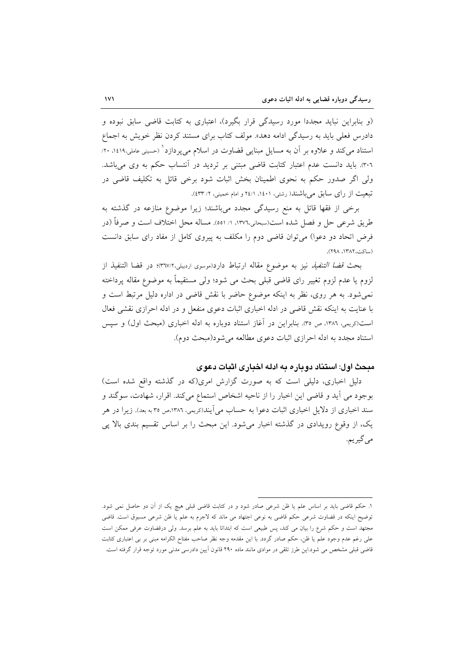(و بنابراین نباید مجددا مورد رسیدگی قرار بگیرد)، اعتباری به کتابت قاضی سابق نبوده و دادرس فعلی باید به رسیدگی ادامه دهد». مولف کتاب برای مستند کردن نظر خویش به اجماع استناد می کند و علاوه بر آن به مسایل مبنایی قضاوت در اسلام میپردازد ٔ (حسینی عاملی،۱٤۱۹، ۲۰/ ۳۰٦). باید دانست عدم اعتبار کتابت قاضی مبتنی بر تردید در آنتساب حکم به وی می<mark>باشد.</mark> ولی اگر صدور حکم به نحوی اطمینان بخش اثبات شود برخی قائل به تکلیف قاضی در تبعیت از رای سابق میباشند( رشتی، ١٤٠١، ٢٤/١ مام خمینی، ٢/ ٤٣٣).

برخی از فقها قائل به منع رسیدگی مجدد میباشند؛ زیرا موضوع منازعه در گذشته به طريق شرعي حل و فصل شده است(سبحاني،١٣٧٦، ١/ ٥٥١). مساله محل اختلاف است و صرفاً (در فرض اتحاد دو دعوا) میتوان قاضی دوم را مکلف به پیروی کامل از مفاد رای سابق دانست (ساكت، ١٣٨٢، ٢٩٨).

بحث قض*ا التنفيذ نيز به مو*ضوع مقاله ارتباط دارد(موسوى اردبيلي،٣٦٧/٢)؛ در قضا التنفيذ از لزوم یا عدم لزوم تغییر رای قاضی قبلی بحث می شود؛ ولی مستقیماً به موضوع مقاله پرداخته نمی شود. به هر روی، نظر به اینکه موضوع حاضر با نقش قاضی در اداره دلیل مرتبط است و با عنایت به اینکه نقش قاضی در ادله اخباری اثبات دعوی منفعل و در ادله احرازی نقشی فعال است(دِيمي، ١٣٨٦، ص ٣٥). بنابراين در آغاز استناد دوباره به ادله اخباري (مبحث اول) و سيس استناد مجدد به ادله احرازي اثبات دعوى مطالعه مي شود(مبحث دوم).

## میحث اول: استناد دوباره به ادله اخباری اثبات دعوی

دلیل اخباری، دلیلی است که به صورت گزارش امری(که در گذشته واقع شده است) بوجود می آید و قاضی این اخبار را از ناحیه اشخاص استماع میکند. اقرار، شهادت، سوگند و سند اخباری از دلایل اخباری اثبات دعوا به حساب میآیند(کریمی، ۱۳۸۲،ص ۳۵ به بعد). زیرا در هر یک، از وقوع رویدادی در گذشته اخبار می شود. این مبحث را بر اساس تقسیم بندی بالا پی مي گيريم.

١. حكم قاضي بايد بر اساس علم يا ظن شرعي صادر شود و در كتابت قاضي قبلي هيچ يک از آن دو حاصل نمي شود. توضیح اینکه در قضاوت شرعی حکم قاضی به نوعی اجتهاد می ماند که لاجرم به علم یا ظن شرعی مسبوق است. قاضی مجتهد است و حکم شرع را بیان می کند، پس طبیعی است که ابتدائا باید به علم برسد. ولی درقضاوت عرفی ممکن است علی رغم عدم وجود علم یا ظن، حکم صادر گردد. با این مقدمه وجه نظر صاحب مفتاح الکرامه مبنی بر بی اعتباری کتابت قاضی قبلی مشخص می شود.این طرز تلقی در موادی مانند ماده ۲۹۰ قانون آیین دادرسی مدنی مورد توجه قرار گرفته است.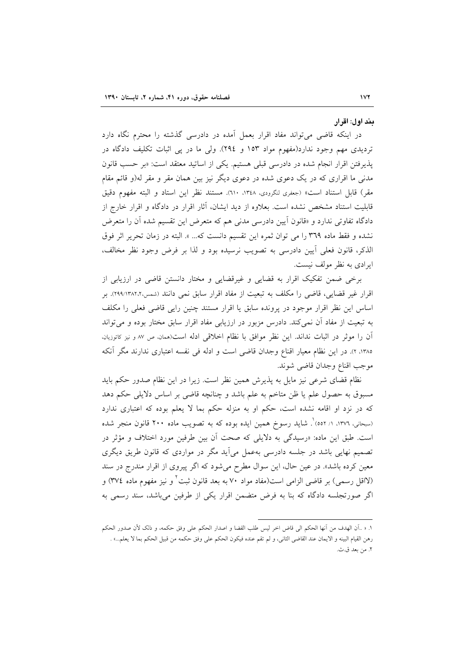#### بند اول: اقرار

در اینکه قاضی می تواند مفاد اقرار بعمل آمده در دادرسی گذشته را محترم نگاه دارد تردیدی مهم وجود ندارد(مفهوم مواد ۱۵۳ و ۲۹٤). ولی ما در پی اثبات تکلیف دادگاه در يذيرفتن اقرار انجام شده در دادرسي قبلي هستيم. يكي از اساتيد معتقد است: «بر حسب قانون مدنی ما اقراری که در یک دعوی شده در دعوی دیگر نیز بین همان مقر و مقر له(و قائم مقام مقر) قابل استناد است» (جعفري لنكرودي، ١٣٤٨، ٦١٠). مستند نظر اين استاد و البته مفهوم دقيق قابلیت استناد مشخص نشده است. بعلاوه از دید ایشان، آثار اقرار در دادگاه و اقرار خارج از دادگاه تفاوتی ندارد و «قانون اّیین دادرسی مدنی هم که متعرض این تقسیم شده آن را متعرض نشده و فقط ماده ٣٦٩ را مي توان ثمره اين تقسيم دانست كه... ». البته در زمان تحرير اثر فوق الذكر، قانون فعلى أيين دادرسي به تصويب نرسيده بود و لذا بر فرض وجود نظر مخالف، ايرادي به نظر مولف نيست.

برخی ضمن تفکیک اقرار به قضایی و غیرقضایی و مختار دانستن قاضی در ارزیابی از اقرار غیر قضایی، قاضی را مکلف به تبعیت از مفاد اقرار سابق نمی دانند (شمس،۲۸۲٬۱۳۸۲٬۲). بر اساس این نظر اقرار موجود در پرونده سابق یا اقرار مستند چنین رایی قاضی فعلی را مکلف به تبعیت از مفاد آن نمی کند. دادرس مزبور در ارزیابی مفاد اقرار سابق مختار بوده و می تواند آن را موثر در اثبات نداند. این نظر موافق با نظام اخلاقی ادله است(همان، ص ٨٧ و نیز كاتوزیان. ١٣٨٥، ٢). در اين نظام معيار اقناع وجدان قاضي است و ادله في نفسه اعتباري ندارند مگر أنكه موجب اقناع وجدان قاضي شوند.

نظام قضای شرعی نیز مایل به پذیرش همین نظر است. زیرا در این نظام صدور حکم باید مسبوق به حصول علم یا ظن متاخم به علم باشد و چنانچه قاضی بر اساس دلایلی حکم دهد که در نزد او اقامه نشده است، حکم او به منزله حکم بما لا یعلم بوده که اعتباری ندارد (سبحانی، ١٣٧٦، ١/ ٥٥٢) . شاید رسوخ همین ایده بوده که به تصویب ماده ٢٠٠ قانون منجر شده است. طبق این ماده: «رسیدگی به دلایلی که صحت آن بین طرفین مورد اختلاف و مؤثر در تصمیم نهایی باشد در جلسه دادرسی بهعمل می آید مگر در مواردی که قانون طریق دیگری معین کرده باشد». در عین حال، این سوال مطرح می شود که اگر پیروی از اقرار مندرج در سند (لااقل رسمي) بر قاضي الزامي است(مفاد مواد ۷۰ به بعد قانون ثبت ٔ و نيز مفهوم ماده ٣٧٤) و اگر صورتجلسه دادگاه که بنا به فرض متضمن اقرار یکی از طرفین میباشد، سند رسمی به

١. « ..أن الهدف من أنها الحكم الى قاض اخر ليس طلب القضا و اصدار الحكم على وفق حكمه، و ذلك لأن صدور الحكم رهن القيام البينه و الايمان عند القاضي الثاني، و لم تقم عنده فيكون الحكم على وفق حكمه من قبيل الحكم بما لا يعلم...» . ٢. من بعد ق.ث.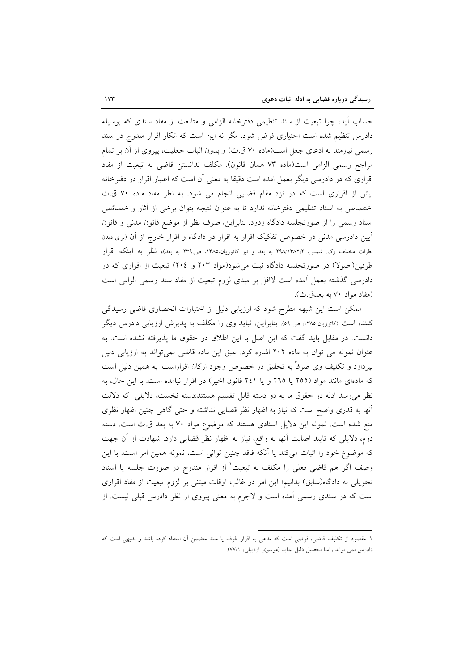حساب آيد، چرا تبعيت از سند تنظيمي دفترخانه الزامي و متابعت از مفاد سندي كه بوسيله دادرس تنظیم شده است اختیاری فرض شود. مگر نه این است که انکار اقرار مندرج در سند رسمی نیازمند به ادعای جعل است(ماده ۷۰ ق.ث) و بدون اثبات جعلیت، پیروی از آن بر تمام مراجع رسمي الزامي است(ماده ٧٣ همان قانون). مكلف ندانستن قاضي به تبعيت از مفاد اقراری که در دادرسی دیگر بعمل امده است دقیقا به معنی آن است که اعتبار اقرار در دفترخانه بیش از اقراری است که در نزد مقام قضایی انجام می شود. به نظر مفاد ماده ۷۰ ق.ث اختصاص به اسناد تنظیمی دفترخانه ندارد تا به عنوان نتیجه بتوان برخی از آثار و خصائص اسناد رسمی را از صورتجلسه دادگاه زدود. بنابراین، صرف نظر از موضع قانون مدنی و قانون اًیین دادرسی مدنی در خصوص تفکیک اقرار به اقرار در دادگاه و اقرار خارج از آن (برای دیدن نظرات مختلف رک: شمس، ۲۹۸/۱۳۸۲،۲ به بعد و نیز کاتوزیان،۱۳۸۵، ص۲۳۹ به بعد)، نظر به اینکه اقرار طرفین(اصولا) در صورتجلسه دادگاه ثبت می شود(مواد ۲۰۳ و ۲۰٤) تبعیت از اقراری که در دادرسی گذشته بعمل أمده است لااقل بر مبنای لزوم تبعیت از مفاد سند رسمی الزامی است (مفاد مواد ۷۰ به بعدق.ث).

ممکن است این شبهه مطرح شود که ارزیابی دلیل از اختیارات انحصاری قاضی رسیدگی کننده است (کاتوزیان،۱۳۸۵، ص ۵۹). بنابراین، نباید وی را مکلف به پذیرش ارزیابی دادرس دیگر دانست. در مقابل باید گفت که این اصل با این اطلاق در حقوق ما پذیرفته نشده است. به عنوان نمونه می توان به ماده ۲۰۲ اشاره کرد. طبق این ماده قاضی نمی تواند به ارزیابی دلیل بپردازد و تکلیف وی صرفاً به تحقیق در خصوص وجود ارکان اقراراست. به همین دلیل است که مادهای مانند مواد (٢٥٥ يا ٢٦٥ و يا ٢٤١ قانون اخير) در اقرار نيامده است. با اين حال، به نظر میرسد ادله در حقوق ما به دو دسته قابل تقسیم هستند:دسته نخست، دلایلی که دلالت آنها به قدری واضح است که نیاز به اظهار نظر قضایی نداشته و حتی گاهی چنین اظهار نظری منع شده است. نمونه این دلایل اسنادی هستند که موضوع مواد ۷۰ به بعد ق ث است. دسته دوم، دلایلی که تایید اصابت آنها به واقع، نیاز به اظهار نظر قضایی دارد. شهادت از آن جهت كه موضوع خود را اثبات مى كند يا آنكه فاقد چنين توانى است، نمونه همين امر است. با اين وصف اگر هم قاضی فعلی را مکلف به تبعیت ٰ از اقرار مندرج در صورت جلسه یا اسناد تحویلی به دادگاه(سابق) بدانیم؛ این امر در غالب اوقات مبتنی بر لزوم تبعیت از مفاد اقراری است که در سندی رسمی آمده است و لاجرم به معنی پیروی از نظر دادرس قبلی نیست. از

١. مقصود از تكليف قاضي، قرضي است كه مدعى به اقرار طرف يا سند متضمن أن استناد كرده باشد و بديهي است كه دادرس نمي تواند راسا تحصيل دليل نمايد (موسوى اردبيلي، ٧٧/٢).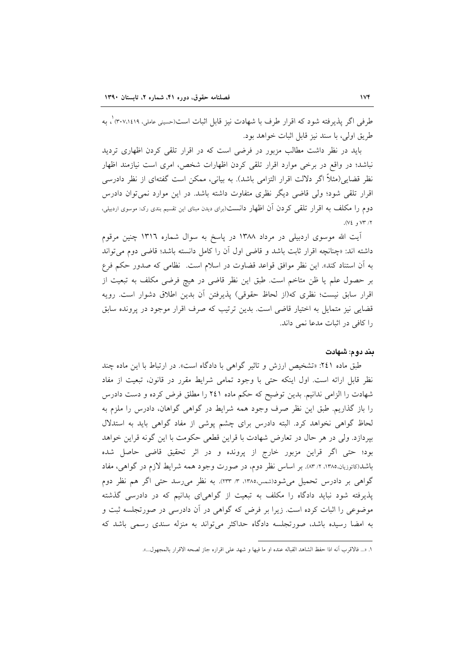طرفي اگر يذيرفته شود كه اقرار طرف با شهادت نيز قابل اثبات است(حسيني عاملي، ٣٠٧،١٤١٩) ، به طريق اولى، يا سند نيز قابل اثبات خواهد بود.

باید در نظر داشت مطالب مزبور در فرضی است که در اقرار تلقی کردن اظهاری تردید نباشد؛ در واقع در برخی موارد اقرار تلقی کردن اظهارات شخص، امری است نیازمند اظهار نظر قضایی(مثلاً اگر دلالت اقرار التزامی باشد). به بیانی، ممکن است گفتهای از نظر دادرسی اقرار تلقی شود؛ ولی قاضی دیگر نظری متفاوت داشته باشد. در این موارد نمی توان دادرس دوم را مکلف به اقرار تلقی کردن آن اظهار دانست(برای دیدن مبنای این تقسیم بندی رک: موسوی اردبیلی،  $(VE, VT, VT)$ 

اّیت الله موسوی اردبیلی در مرداد ۱۳۸۸ در پاسخ به سوال شماره ۱۳۱٦ چنین مرقوم داشته اند: «چنانچه اقرار ثابت باشد و قاضی اول آن را کامل دانسته باشد؛ قاضی دوم می تواند به أن استناد كند». اين نظر موافق قواعد قضاوت در اسلام است. نظامي كه صدور حكم فرع بر حصول علم يا ظن متاخم است. طبق اين نظر قاضي در هيچ فرضي مكلف به تبعيت از اقرار سابق نیست؛ نظری که(از لحاظ حقوقی) پذیرفتن آن بدین اطلاق دشوار است. رویه قضایی نیز متمایل به اختیار قاضی است. بدین ترتیب که صرف اقرار موجود در پرونده سابق را كافي در اثبات مدعا نمي داند.

### بند دوم: شهادت

طبق ماده ۲٤۱: «تشخیص ارزش و تاثیر گواهی با دادگاه است». در ارتباط با این ماده چند نظر قابل ارائه است. اول اینکه حتی با وجود تمامی شرایط مقرر در قانون، تبعیت از مفاد شهادت را الزامی ندانیم. بدین توضیح که حکم ماده ۲٤۱ را مطلق فرض کرده و دست دادرس را باز گذاریم. طبق این نظر صرف وجود همه شرایط در گواهی گواهان، دادرس را ملزم به لحاظ گواهی نخواهد کرد. البته دادرس برای چشم پوشی از مفاد گواهی باید به استدلال بیردازد. ولی در هر حال در تعارض شهادت با قراین قطعی حکومت با این گونه قراین خواهد بود؛ حتى اگر قراين مزبور خارج از پرونده و در اثر تحقيق قاضي حاصل شده باشد(کاتوزیان،۱۳۸۵، ۲/ ۸۳). بر اساس نظر دوم، در صورت وجود همه شرایط لازم در گواهی، مفاد گواهی بر دادرس تحمیل میشود(شمس،۱۳۸۵، ۳، ۲۳۳). به نظر می رسد حتی اگر هم نظر دوم پذیرفته شود نباید دادگاه را مکلف به تبعیت از گواهیای بدانیم که در دادرسی گذشته موضوعی را اثبات کرده است. زیرا بر فرض که گواهی در آن دادرسی در صورتجلسه ثبت و به امضا رسیده باشد، صورتجلسه دادگاه حداکثر میتواند به منزله سندی رسمی باشد که

١. «... فالاقرب أنه اذا حفظ الشاهد القباله عنده او ما فيها و شهد على اقراره جاز لصحه الاقرار بالمجهول...».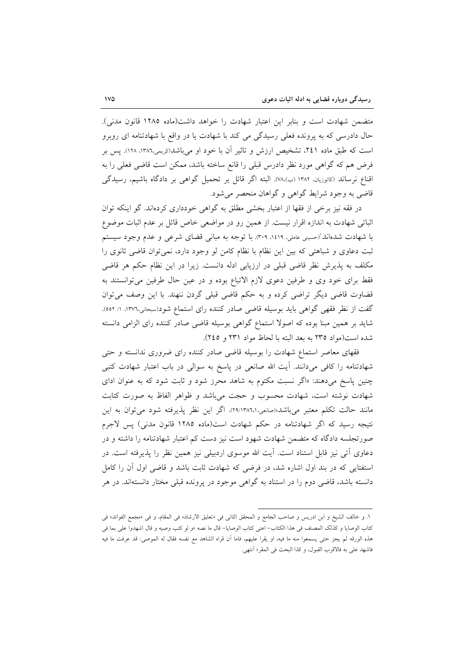متضمن شهادت است و بنابر این اعتبار شهادت را خواهد داشت(ماده ۱۲۸۵ قانون مدنی). حال دادرسی که به پرونده فعلی رسیدگی می کند با شهادت یا در واقع با شهادتنامه ای روبرو است که طبق ماده ۲٤۱، تشخیص ارزش و تاثیر آن با خود او میباشد(کریمی،۱۳۸٦، ۱۲۸). پس بر فرض هم كه گواهي مورد نظر دادرس قبلي را قانع ساخته باشد، ممكن است قاضي فعلي را به اقناع نرساند (کاتوزیان، ۱۳۸۲ (ب)،۷۸). البته اگر قائل بر تحمیل گواهی بر دادگاه باشیم، رسیدگی قاضی به وجود شرایط گواهی و گواهان منحصر می شود.

در فقه نیز برخی از فقها از اعتبار بخشی مطلق به گواهی خودداری کردهاند. گو اینکه توان اثباتی شهادت به اندازه اقرار نیست. از همین رو در مواضعی خاص قائل بر عدم اثبات موضوع با شهادت شدهاند'(حسینی عاملی، ۱٤۱۹، ۳۰۹. با توجه به مبانی قضای شرعی و عدم وجود سیستم ثبت دعاوی و شباهتی که بین این نظام با نظام کامن لو وجود دارد، نمی توان قاضی ثانوی را مکلف به پذیرش نظر قاضی قبلی در ارزیابی ادله دانست. زیرا در این نظام حکم هر قاضی فقط برای خود وی و طرفین دعوی لازم الاتباع بوده و در عین حال طرفین می توانستند به قضاوت قاضی دیگر تراضی کرده و به حکم قاضی قبلی گردن ننهند. با این وصف میتوان گفت از نظر فقهی گواهی باید بوسیله قاضی صادر کننده رای استماع شود(سبحانی،١٣٧٦، ١/ ٥٥٢). شاید بر همین مبنا بوده که اصولاً استماع گواهی بوسیله قاضی صادر کننده رای الزامی دانسته شده است(مواد ٢٣٥ به بعد البته با لحاظ مواد ٢٣١ و ٢٤٥).

فقهای معاصر استماع شهادت را بوسیله قاضی صادر کننده رای ضروری ندانسته و حتی شهادتنامه را کافی میدانند. آیت الله صانعی در پاسخ به سوالی در باب اعتبار شهادت کتبی چنین پاسخ میدهند: «اگر نسبت مکتوم به شاهد محرز شود و ثابت شود که به عنوان ادای شهادت نوشته است، شهادت محسوب و حجت میباشد و ظواهر الفاظ به صورت كتابت مانند حالت تكلم معتبر مي باشد»(صانعي،٢٩/١٣٨٦،١). اگر اين نظر پذيرفته شود مي توان به اين نتیجه رسید که اگر شهادتنامه در حکم شهادت است(ماده ۱۲۸۵ قانون مدنی) پس لاجرم صورتجلسه دادگاه که متضمن شهادت شهود است نیز دست کم اعتبار شهادتنامه را داشته و در دعاوی آتی نیز قابل استناد است. آیت الله موسوی اردبیلی نیز همین نظر را پذیرفته است. در استفتایی که در بند اول اشاره شد، در فرضی که شهادت ثابت باشد و قاضی اول آن را کامل دانسته باشد، قاضی دوم را در استناد به گواهی موجود در پرونده قبلی مختار دانستهاند. در هر

١. و خالف الشيخ و ابن ادريس و صاحب الجامع و المحقق الثاني في «تعليق الارشاد» في المقام، و في «مجمع الفوائد» في كتاب الوصايا و كذلك المصنف في هذا الكتاب- اعنى كتاب الوصايا- قال ما نصه «و لو كتب وصيه و قال اشهدوا على بما في هذه الورقه لم يجز حتى يسمعوا منه ما فيه، او يقرا عليهم، فاما أن قراه الشاهد مع نفسه فقال له الموصى: قد عرفت ما فيه فاشهد على به فالاقرب القبول، وكذا البحث في المقر» آنتهي.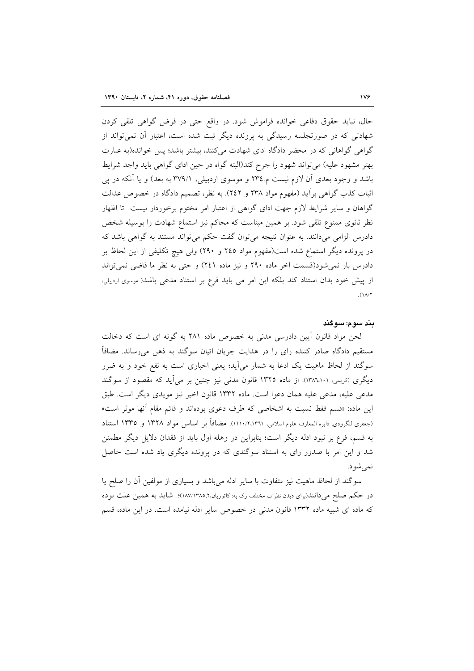حال، نبايد حقوق دفاعي خوانده فراموش شود. در واقع حتى در فرض گواهي تلقى كردن شهادتی که در صورتجلسه رسیدگی به پرونده دیگر ثبت شده است، اعتبار آن نمی تواند از گواهی گواهانی که در محضر دادگاه ادای شهادت میکنند، بیشتر باشد؛ پس خوانده(به عبارت بهتر مشهود علیه) میتواند شهود را جرح کند(البته گواه در حین ادای گواهی باید واجد شرایط باشد و وجود بعدی آن لازم نیست م.٢٣٤ و موسوی اردبیلی، ٣٧٩/١ به بعد) و یا آنکه در پی اثبات كذب گواهي برأيد (مفهوم مواد ٢٣٨ و ٢٤٢). به نظر، تصميم دادگاه در خصوص عدالت گواهان و سایر شرایط لازم جهت ادای گواهی از اعتبار امر مختوم برخوردار نیست تا اظهار نظر ثانوی ممنوع تلقی شود. بر همین مبناست که محاکم نیز استماع شهادت را بوسیله شخص دادرس الزامی میدانند. به عنوان نتیجه می توان گفت حکم می تواند مستند به گواهی باشد که در پرونده دیگر استماع شده است(مفهوم مواد ٢٤٥ و ٢٩٠) ولی هیچ تکلیفی از این لحاظ بر دادرس بار نمی شود(قسمت اخر ماده ۲۹۰ و نیز ماده ۲٤۱) و حتی به نظر ما قاضی نمی تواند از پیش خود بدان استناد کند بلکه این امر می باید فرع بر استناد مدعی باشد( موسوی اردبیلی،  $(1A)Y$ 

#### بند سوم: سوگند

لحن مواد قانون آیین دادرسی مدنی به خصوص ماده ۲۸۱ به گونه ای است که دخالت مستقیم دادگاه صادر کننده رای را در هدایت جریان اتیان سوگند به ذهن میرساند. مضافاً سوگند از لحاظ ماهیت یک ادعا به شمار میآید؛ یعنی اخباری است به نفع خود و به ضرر دیگری (کریمی، ۱۳۸٦٬۱۰۱). از ماده ۱۳۲۵ قانون مدنی نیز چنین بر می]ید که مقصود از سوگند مدعی علیه، مدعی علیه همان دعوا است. ماده ۱۳۳۲ قانون اخیر نیز مویدی دیگر است. طبق این ماده: «قسم فقط نسبت به اشخاصی که طرف دعوی بودهاند و قائم مقام آنها موثر است» (جعفري لنگرودي، دايره المعارف علوم اسلامي، ١١١٠/٢،١٣٦١). مضافاً بر اساس مو اد ١٣٢٨ و ١٣٣٥ استناد به قسم، فرع بر نبود ادله دیگر است؛ بنابراین در وهله اول باید از فقدان دلایل دیگر مطمئن شد و این امر با صدور رای به استناد سوگندی که در پرونده دیگری یاد شده است حاصل نمے شو د.

سوگند از لحاظ ماهیت نیز متفاوت با سایر ادله میباشد و بسیاری از مولفین أن را صلح یا در حکم صلح می(انند(برای دیدن نظرات مختلف رک به: کاتوزیان،۱۸۷/۱۳۸۵،۲٪)؛ شاید به همین علت بوده که ماده ای شبیه ماده ۱۳۳۲ قانون مدنی در خصوص سایر ادله نیامده است. در این ماده، قسم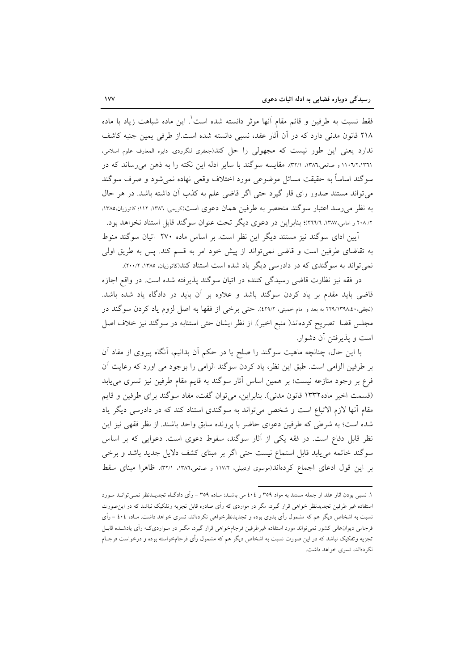فقط نسبت به طرفین و قائم مقام آنها موثر دانسته شده است ٰ. این ماده شباهت زیاد با ماده ٢١٨ قانون مدني دارد كه در آن آثار عقد، نسبي دانسته شده است.از طرفي يمين جنبه كاشف .<br>ندارد یعنی این طور نیست که مجهولی را حل کند(جعفری لنگرودی، دایره المعارف علوم اسلامی، ۱۱۰٦/۱۰/۱۳۹۱ و صانعی،۱۳۸۲، ۳۲/۱). مقایسه سوگند با سایر ادله این نکته را به ذهن می رساند که در سوگند اساساً به حقیقت مسائل موضوعی مورد اختلاف وقعی نهاده نمی شود و صرف سوگند می تواند مستند صدور رای قار گیرد حتی اگر قاضی علم به کذب آن داشته باشد. در هر حال به نظر می رسد اعتبار سوگند منحصر به طرفین همان دعوی است(دریمی، ۱۳۸۲، ۱۱۲؛ کاتوزیان،۱۳۸۵، ۲۰۸/۲ و امامی،۱۳۸۷، ۲٬۱۳۷: بنابر این در دعوی دیگر تحت عنوان سوگند قابل استناد نخواهد بود.

آیین ادای سوگند نیز مستند دیگر این نظر است. بر اساس ماده ۲۷۰ اتیان سوگند منوط به تقاضای طرفین است و قاضی نمی تواند از پیش خود امر به قسم کند. پس به طریق اولی نمي تواند به سوگندي كه در دادرسي ديگر ياد شده است استناد كند(كاتوزيان، ١٣٨٥، ٢٠٠٠/٢).

در فقه نیز نظارت قاضی رسیدگی کننده در اتیان سوگند پذیرفته شده است. در واقع اجازه قاضی باید مقدم بر یاد کردن سوگند باشد و علاوه بر آن باید در دادگاه یاد شده باشد. (نجفي،٢٩٨،٤٠٤١ به بعد و امام خميني، ٤٢٩/٢). حتى برخي از فقها به اصل لزوم ياد كردن سوگند در مجلس قضا تصریح کردهاند( منبع اخیر). از نظر ایشان حتی استنابه در سوگند نیز خلاف اصل است و يذيرفتن أن دشوار.

با این حال، چنانچه ماهیت سوگند را صلح یا در حکم اَن بدانیم، اَنگاه پیروی از مفاد اَن بر طرفین الزامی است. طبق این نظر، یاد کردن سوگند الزامی را بوجود می اورد که رعایت اَن فرع بر وجود منازعه نیست؛ بر همین اساس آثار سوگند به قایم مقام طرفین نیز تسری می یابد (قسمت اخیر ماده١٣٣٢ قانون مدنی). بنابراین، می توان گفت، مفاد سوگند برای طرفین و قایم مقام آنها لازم الاتباع است و شخص می تواند به سوگندی استناد کند که در دادرسی دیگر یاد شده است؛ به شرطي كه طرفين دعواي حاضر با يرونده سابق واحد باشند. از نظر فقهي نيز اين نظر قابل دفاع است. در فقه یکی از آثار سوگند، سقوط دعوی است. دعوایی که بر اساس سوگند خاتمه می یابد قابل استماع نیست حتی اگر بر مبنای کشف دلایل جدید باشد و برخی بر این قول ادعای اجماع کردهاند(موسوی اردبیلی، ۱۱۷/۲ و صانعی،۱۳۸۲، ۳۲/۱). ظاهرا مبنای سقط

۱. نسبی بودن اثار عقد از جمله مستند به مواد ۳۵۹ و ٤٠٤ می باشـد: مـاده ۳۵۹ – رأی دادگـاه تجدیــدنظر نمــی توانــد مــورد استفاده غیر طرفین تجدیدنظر خواهی قرار گیرد، مگر در مواردی که رأی صادره قابل تجزیه وتفکیک نباشد که در این صورت نسبت به اشخاص دیگر هم که مشمول رأی بدوی بوده و تجدیدنظرخواهی نکردهاند، تسری خواهد داشت. مـاده ٤٠٤ – رأی فرجامی دیوانءالی کشور نمی تواند مورد استفاده غیرطرفین فرجامخواهی قرار گیرد، مگـر در مـواردیکـه رأی یادشـده قابـل تجزیه وتفکیک نباشد که در این صورت نسبت به اشخاص دیگر هم که مشمول رأی فرجامخواسته بوده و درخواست فرجـام نکردهاند، تسری خواهد داشت.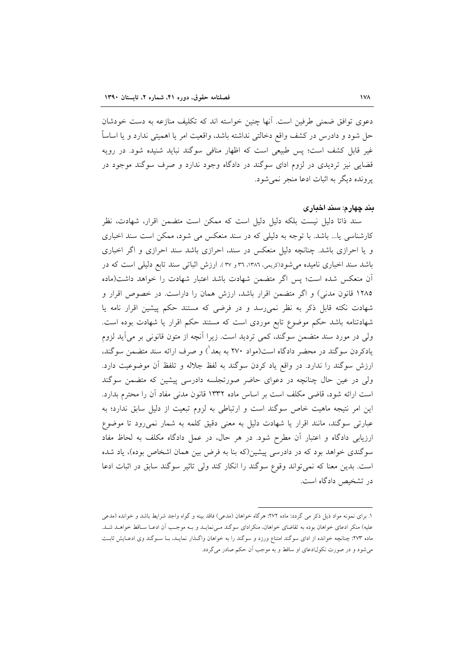دعوی توافق ضمنی طرفین است. اُنها چنین خواسته اند که تکلیف منازعه به دست خودشان حل شود و دادرس در کشف واقع دخالتی نداشته باشد، واقعیت امر یا اهمیتی ندارد و یا اساساً غیر قابل کشف است؛ پس طبیعی است که اظهار منافی سوگند نباید شنیده شود. در رویه قضایی نیز تردیدی در لزوم ادای سوگند در دادگاه وجود ندارد و صرف سوگند موجود در يرونده ديگر به اثبات ادعا منجر نمي شود.

### بند چهارم: سند اخباری

سند ذاتا دلیل نیست بلکه دلیل دلیل است که ممکن است متضمن اقرار، شهادت، نظر کارشناسی یا... باشد. با توجه به دلیلی که در سند منعکس می شود، ممکن است سند اخباری و یا احرازی باشد. چنانچه دلیل منعکس در سند، احرازی باشد سند احرازی و اگر اخباری باشد سند اخباری نامیده میشود(کریمی، ۱۳۸٦، ۳٦ و ۳۷). ارزش اثباتی سند تابع دلیلی است که در آن منعکس شده است؛ پس اگر متضمن شهادت باشد اعتبار شهادت را خواهد داشت(ماده ۱۲۸۵ قانون مدنی) و اگر متضمن اقرار باشد، ارزش همان را داراست. در خصوص اقرار و شهادت نکته قابل ذکر به نظر نمی رسد و در فرضی که مستند حکم پیشین اقرار نامه یا شهادتنامه باشد حکم موضوع تابع موردی است که مستند حکم اقرار یا شهادت بوده است. ولي در مورد سند متضمن سوگند، كمي ترديد است. زيرا آنچه از متون قانوني بر مي∫يد لزوم یادکردن سوگند در محضر دادگاه است(مواد ۲۷۰ به بعد $\langle$  و صرف ارائه سند متضمن سوگند، ارزش سوگند را ندارد. در واقع یاد کردن سوگند به لفظ جلاله و تلفظ آن موضوعیت دارد. ولی در عین حال چنانچه در دعوای حاضر صورتجلسه دادرسی پیشین که متضمن سوگند است ارائه شود، قاضی مکلف است بر اساس ماده ۱۳۳۲ قانون مدنی مفاد آن را محترم بدارد. این امر نتیجه ماهیت خاص سوگند است و ارتباطی به لزوم تبعیت از دلیل سابق ندارد؛ به عبارتی سوگند، مانند اقرار یا شهادت دلیل به معنی دقیق کلمه به شمار نمیرود تا موضوع ارزیابی دادگاه و اعتبار آن مطرح شود. در هر حال، در عمل دادگاه مکلف به لحاظ مفاد سوگندی خواهد بود که در دادرسی پیشین(که بنا به فرض بین همان اشخاص بوده)، یاد شده است. بدین معنا که نمی تواند وقوع سوگند را انکار کند ولی تاثیر سوگند سابق در اثبات ادعا در تشخیص دادگاه است.

١. براي نمونه مواد ذيل ذكر مي گردد: ماده ٢٧٢: هرگاه خواهان (مدعى) فاقد بينه و گواه واجد شرايط باشد و خوانده (مدعى علیه) منکر ادعای خواهان بوده به تقاضای خواهان، منکرادای سوگند مـیiمایـد و بـه موجـب اَن ادعـا سـاقط خواهـد شـد. ماده ۲۷۳: چنانچه خوانده از ادای سوگند امتناع ورزد و سوگند را به خواهان واگـذار نمایـد، بـا سـوگند وی ادعـایش ثابـت میشود و در صورت نکول\دعای او ساقط و به موجب آن حکم صادر می گردد.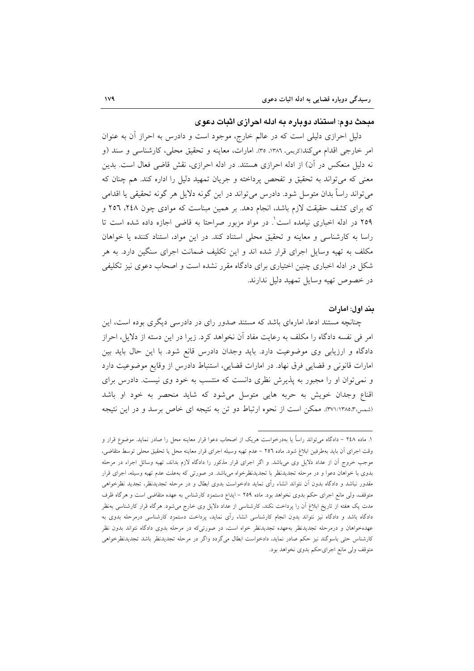### میحث دوم: استناد دوباره به ادله اجرازی اشات دعوی

دلیل احرازی دلیلی است که در عالم خارج، موجود است و دادرس به احراز أن به عنوان امر خارجی اقدام میکند(کریمی، ۱۳۸٦، ۳۵). امارات، معاینه و تحقیق محلی، کارشناسی و سند (و نه دلیل منعکس در آن) از ادله احرازی هستند. در ادله احرازی، نقش قاضی فعال است. بدین معنی که می تواند به تحقیق و تفحص پرداخته و جریان تمهید دلیل را اداره کند. هم چنان که می تواند راساً بدان متوسل شود. دادرس می تواند در این گونه دلایل هر گونه تحقیقی یا اقدامی که برای کشف حقیقت لازم باشد، انجام دهد. بر همین مبناست که موادی چون ۲٤۸، ۲٥٦ و ۲٥۹ در ادله اخباری نیامده است'. در مواد مزبور صراحتا به قاضی اجازه داده شده است تا راسا به كارشناسي و معاينه و تحقيق محلي استناد كند. در اين مواد، استناد كننده يا خواهان مکلف به تهیه وسایل اجرای قرار شده اند و این تکلیف ضمانت اجرای سنگین دارد. به هر شکل در ادله اخباری چنین اختیاری برای دادگاه مقرر نشده است و اصحاب دعوی نیز تکلیفی در خصوص تهيه وسايل تمهيد دليل ندارند.

#### بند اول: امارات

چنانچه مستند ادعا، امارهای باشد که مستند صدور رای در دادرسی دیگری بوده است، این امر في نفسه دادگاه را مكلف به رعايت مفاد آن نخواهد كرد. زيرا در اين دسته از دلايل، احراز دادگاه و ارزیابی وی موضوعیت دارد. باید وجدان دادرس قانع شود. با این حال باید بین امارات قانونی و قضایی فرق نهاد. در امارات قضایی، استنباط دادرس از وقایع موضوعیت دارد و نمی توان او را مجبور به پذیرش نظری دانست که منتسب به خود وی نیست. دادرس برای اقناع وجدان خویش به حربه هایی متوسل میشود که شاید منحصر به خود او باشد (شمس،۱۳۸۵،۲۷۱/۱۳۸۵). ممکن است از نحوه ارتباط دو تن به نتیجه ای خاص برسد و در این نتیجه

۱. ماده ۲٤۸ – دادگاه می تواند راساً یا بهدرخواست هریک از اصحاب دعوا قرار معاینه محل را صادر نماید. موضوع قرار و وقت اجرای آن باید بهطرفین ابلاغ شود. ماده ٢٥٦ – عدم تهیه وسیله اجرای قرار معاینه محل یا تحقیق محلی توسط متقاضی، موجب خروج آن از عداد دلایل وی میباشد. و اگر اجرای قرار مذکور را دادگاه لازم بداند، تهیه وسائل اجراء در مرحله بدوی با خواهان دعوا و در مرحله تجدیدنظر با تجدیدنظرخواه میباشد. در صورتی که بهعلت عدم تهیه وسیله، اجرای قرار مقدور نباشد و دادگاه بدون اَن نتواند انشاء رأی نماید دادخواست بدوی ابطال و در مرحله تجدیدنظر، تجدید نظرخواهی متوقف، ولی مانع اجرای حکم بدوی نخواهد بود. ماده ۲۵۹ – ایداع دستمزد کارشناس به عهده متقاضی است و هرگاه ظرف مدت یک هفته از تاریخ ابلاغ آن را پرداخت نکند، کارشناسی از عداد دلایل وی خارج میشود. هرگاه قرار کارشناسی بهنظر دادگاه باشد و دادگاه نیز نتواند بدون انجام کارشناسی انشاء رأی نماید، پرداخت دستمزد کارشناسی درمرحله بدوی به عهدهخواهان و درمرحله تجدیدنظر بهعهده تجدیدنظر خواه است، در صورتیکه در مرحله بدوی دادگاه نتواند بدون نظر کارشناس حتی باسوگند نیز حکم صادر نماید، دادخواست ابطال میگردد واگر در مرحله تجدیدنظر باشد تجدیدنظرخواهی متوقف ولي مانع اجراي حكم بدوى نخواهد بود.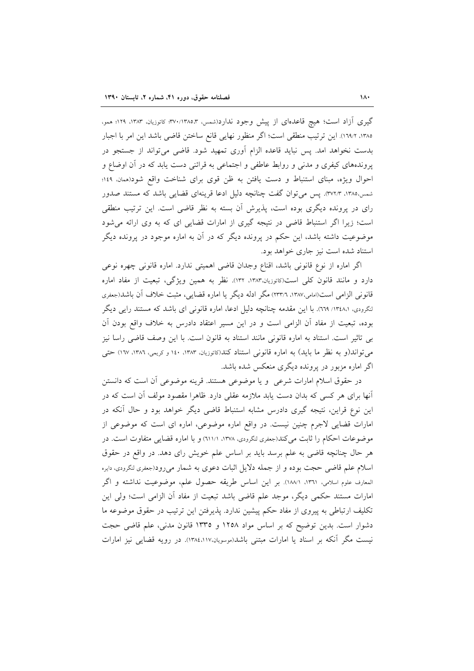گیری آزاد است؛ هیچ قاعدهای از پیش وجود ندارد(شمس، ۳۷۰/۱۳۸۵،۳ کاتوزیان، ۱۳۸۳، ۱۲۹؛ همو، ١٣٨٥، ١٩٨/١). اين ترتيب منطقى است؛ اگر منظور نهايي قانع ساختن قاضي باشد اين امر با اجبار بدست نخواهد امد. پس نباید قاعده الزام آوری تمهید شود. قاضی میتواند از جستجو در پروندههای کیفری و مدنی و روابط عاطفی و اجتماعی به قرائنی دست یابد که در آن اوضاع و احوال ویژه، مبنای استنباط و دست یافتن به ظن قوی برای شناخت واقع شود(همان، ١٤٩؛ شمس،۱۳۸۵، ۳۷۲/۳). پس می توان گفت چنانچه دلیل ادعا قرینهای قضایی باشد که مستند صدور رای در پرونده دیگری بوده است، پذیرش آن بسته به نظر قاضی است. این ترتیب منطقی است؛ زیرا اگر استنباط قاضی در نتیجه گیری از امارات قضایی ای که به وی ارائه می شود موضوعیت داشته باشد، این حکم در پرونده دیگر که در آن به اماره موجود در پرونده دیگر استناد شده است نیز جاری خواهد بود.

اگر اماره از نوع قانونی باشد، اقناع وجدان قاضی اهمیتی ندارد. اماره قانونی چهره نوعی دارد و مانند قانون کلی است(کاتوزیان،۱۳۸۳، ۱۳۲). نظر به همین ویژگی، تبعیت از مفاد اماره قانونی الزامی است(امامی،۱۳۸۷، ۲۳۳/٦) مگر ادله دیگر یا اماره قضایی، مثبت خلاف آن باشد(جعفری لنگرودی، ۱۳٤۸،۱۳٤۸٪. با این مقدمه چنانچه دلیل ادعا، اماره قانونی ای باشد که مستند رایی دیگر بوده، تبعیت از مفاد أن الزامی است و در این مسیر اعتقاد دادرس به خلاف واقع بودن أن بی تاثیر است. استناد به اماره قانونی مانند استناد به قانون است. با این وصف قاضی راسا نیز می تواند(و به نظر ما باید) به اماره قانونی استناد کند(کاتوزیان، ۱۳۸۳، ۱۶۰ و کریمی، ۱۳۸۲، ۱۲۷) حتمی اگر اماره مزبور در پرونده دیگری منعکس شده باشد.

در حقوق اسلام امارات شرعی و یا موضوعی هستند. قرینه موضوعی آن است که دانستن أنها برای هر کسی که بدان دست یابد ملازمه عقلی دارد. ظاهرا مقصود مولف أن است که در این نوع قراین، نتیجه گیری دادرس مشابه استنباط قاضی دیگر خواهد بود و حال آنکه در امارات قضایی لاجرم چنین نیست. در واقع اماره موضوعی، اماره ای است که موضوعی از موضوعات احکام را ثابت می کند(جعفری لنگرودی، ۱۳۷۸، ۱۱/۱۱) و با اماره قضایی متفاوت است. در هر حال چنانچه قاضی به علم برسد باید بر اساس علم خویش رای دهد. در واقع در حقوق اسلام علم قاضی حجت بوده و از جمله دلایل اثبات دعوی به شمار می رود(جعفری لنگرودی، دایره المعارف علوم اسلامي، ١٣٦١، ١٨٨/١). بر اين اساس طريقه حصول علم، موضوعيت نداشته و اگر امارات مستند حکمی دیگر، موجد علم قاضی باشد تبعیت از مفاد آن الزامی است؛ ولی این تکلیف ارتباطی به پیروی از مفاد حکم پیشین ندارد. پذیرفتن این ترتیب در حقوق موضوعه ما دشوار است. بدین توضیح که بر اساس مواد ۱۲۵۸ و ۱۳۳۵ قانون مدنی، علم قاضی حجت نیست مگر آنکه بر اسناد یا امارات مبتنی باشد(موسویان،۱۲۸٤،۱۱۷). در رویه قضایی نیز امارات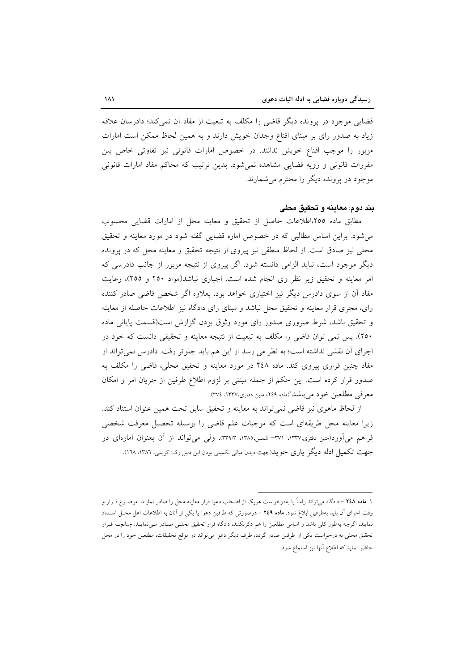قضایی موجود در پرونده دیگر قاضی را مکلف به تبعیت از مفاد آن نمی کند؛ دادرسان علاقه زیاد به صدور رای بر مبنای اقناع وجدان خویش دارند و به همین لحاظ ممکن است امارات مزبور را موجب اقناع خویش ندانند. در خصوص امارات قانونی نیز تفاوتی خاص بین مقررات قانونی و رویه قضایی مشاهده نمیشود. بدین ترتیب که محاکم مفاد امارات قانونی موجود در پرونده دیگر را محترم می شمارند.

### بند دوم: معاينه و تحقيق محلي

مطابق ماده ٢٥٥،اطلاعات حاصل از تحقیق و معاینه محل از امارات قضایی محسوب می شود. براین اساس مطالبی که در خصوص اماره قضایی گفته شود در مورد معاینه و تحقیق محلي نيز صادق است. از لحاظ منطقي نيز پيروي از نتيجه تحقيق و معاينه محل كه در پرونده دیگر موجود است، نباید الزامی دانسته شود. اگر پیروی از نتیجه مزبور از جانب دادرسی که امر معاینه و تحقیق زیر نظر وی انجام شده است، اجباری نباشد(مواد ۲۵۰ و ۲۵۵)، رعایت مفاد آن از سوی دادرس دیگر نیز اختیاری خواهد بود. بعلاوه اگر شخص قاضی صادر کننده رای، مجری قرار معاینه و تحقیق محل نباشد و مبنای رای دادگاه نیز اطلاعات حاصله از معاینه و تحقیق باشد، شرط ضروری صدور رای مورد وثوق بودن گزارش است(قسمت پایانی ماده ۲۵۰). پس نمی توان قاضی را مکلف به تبعیت از نتیجه معاینه و تحقیقی دانست که خود در اجرای اَن نقشی نداشته است؛ به نظر می رسد از این هم باید جلوتر رفت. دادرس نمی تواند از مفاد چنین قراری پیروی کند. ماده ۲٤۸ در مورد معاینه و تحقیق محلی، قاضی را مکلف به صدور قرار كرده است. اين حكم از جمله مبتنى بر لزوم اطلاع طرفين از جريان امر و امكان معرفی مطلعین خود می باشد (ماده ۲٤۹، متین دفتری،۱۳۳۷، ۳۷٤).

از لحاظ ماهوی نیز قاضی نمی تواند به معاینه و تحقیق سابق تحت همین عنوان استناد کند. زیرا معاینه محل طریقهای است که موجبات علم قاضی را بوسیله تحصیل معرفت شخصی فراهم مي[ورد(متين دفتري،١٣٣٧، ٣٧١- شمس،١٣٨٥، ٣٩٨٣). ولي مي تواند از آن بعنوان امارهاي در جهت تکمیل ادله دیگر پاری جو پلـ(جهت دیدن مبانی تکمیلی بودن این دلیل رک: کریمی، ١٣٨٦، ١٦٨).

١. ماده ٢٤٨ - دادگاه مي تواند راساً يا بهدرخواست هر يک از اصحاب دعوا قرار معاينه محل را صادر نمايـد. موضـوع قـرار و وقت اجراى أن بايد بهطرفين ابلاغ شود. ماده ٢٤٩ - درصورتى كه طرفين دعوا يا يكي از آنان به اطلاعات اهل محـل اسـتناد نمایند، اگرچه بهطور کلی باشد و اسامی مطلعین را هم ذکرنکنند، دادگاه قرار تحقیق محلـی صـادر مـینمایـد. چنانچــه قـرار تحقیق محلی به درخواست یکی از طرفین صادر گردد، طرف دیگر دعوا می¤واند در موقع تحقیقات، مطلعین خود را در محل حاضر نمايد كه اطلاع أنها نيز استماع شود.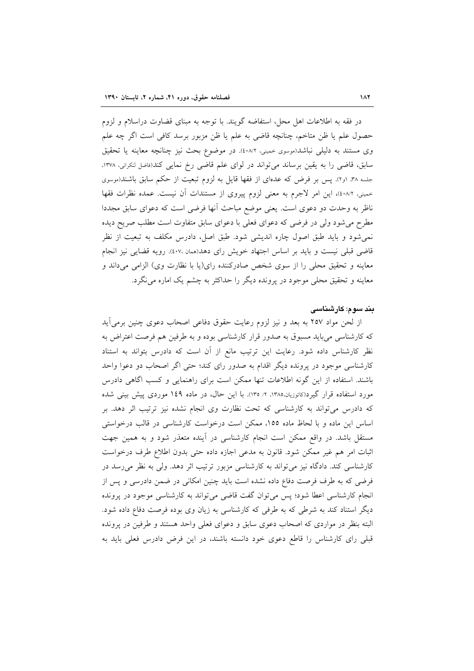در فقه به اطلاعات اهل محل، استفاضه گویند. با توجه به مبنای قضاوت دراسلام و لزوم حصول علم يا ظن متاخم، چنانچه قاضي به علم يا ظن مزبور برسد كافي است اگر چه علم وی مستند به دلیلی نباشد(موسوی خمینی، ٤٠٨/٢). در موضوع بحث نیز چنانچه معاینه یا تحقیق سابق، قاضی را به یقین برساند می تواند در لوای علم قاضی رخ نمایی کند(فاضل لنکرانی، ۱۳۷۸، جلسه ۳۸، او۲). پس بر فرض که عدهای از فقها قایل به لزوم تبعیت از حکم سابق باشند(موسوی حمینی، ٤٠٨/٢)، این امر لاجرم به معنی لزوم پیروی از مستندات آن نیست. عمده نظرات فقها ناظر به وحدت دو دعوى است. يعني موضع مباحث آنها فرضي است كه دعواي سابق مجددا مطرح می شود ولی در فرضی که دعوای فعلی با دعوای سابق متفاوت است مطلب صریح دیده نمی شود و باید طبق اصول چاره اندیشی شود. طبق اصل، دادرس مکلف به تبعیت از نظر قاضی قبلی نیست و باید بر اساس اجتهاد خویش رای دهد(همان ،٤٠٧). رویه قضایی نیز انجام معاينه و تحقيق محلي را از سوى شخص صادركننده راي(يا با نظارت وي) الزامي مي داند و معاینه و تحقیق محلی موجود در پرونده دیگر را حداکثر به چشم یک اماره می نگرد.

### بند سوم: کارشناسی

از لحن مواد ۲۵۷ به بعد و نیز لزوم رعایت حقوق دفاعی اصحاب دعوی چنین برمیآید که کارشناسی می باید مسبوق به صدور قرار کارشناسی بوده و به طرفین هم فرصت اعتراض به نظر کارشناس داده شود. رعایت این ترتیب مانع از آن است که دادرس بتواند به استناد کارشناسی موجود در پرونده دیگر اقدام به صدور رای کند؛ حتی اگر اصحاب دو دعوا واحد باشند. استفاده از این گونه اطلاعات تنها ممکن است برای راهنمایی و کسب اگاهی دادرس مورد استفاده قرار گیرد(کاتوزیان،۱۳۸۵، ۲/ ۱۳۵). با این حال، در ماده ۱٤۹ موردی پیش بینی شده که دادرس می تواند به کارشناسی که تحت نظارت وی انجام نشده نیز ترتیب اثر دهد. بر اساس این ماده و با لحاظ ماده ١٥٥، ممکن است درخواست کارشناسی در قالب درخواستی مستقل باشد. در واقع ممکن است انجام کارشناسی در آینده متعذر شود و به همین جهت اثبات امر هم غیر ممکن شود. قانون به مدعی اجازه داده حتی بدون اطلاع طرف درخواست کارشناسی کند. دادگاه نیز می تواند به کارشناسی مزبور ترتیب اثر دهد. ولی به نظر می رسد در فرضی که به طرف فرصت دفاع داده نشده است باید چنین امکانی در ضمن دادرسی و پس از انجام کارشناسی اعطا شود؛ پس میتوان گفت قاضی میتواند به کارشناسی موجود در پرونده دیگر استناد کند به شرطی که به طرفی که کارشناسی به زیان وی بوده فرصت دفاع داده شود. البته بنظر در مواردی که اصحاب دعوی سابق و دعوای فعلی واحد هستند و طرفین در پرونده قبلی رای کارشناس را قاطع دعوی خود دانسته باشند، در این فرض دادرس فعلی باید به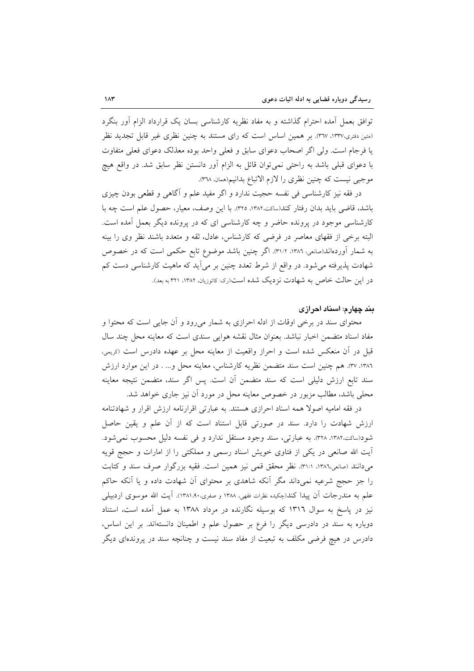توافق بعمل اَمده احترام گذاشته و به مفاد نظریه کارشناسی بسان یک قرارداد الزام اَور بنگرد (متین دفتری،١٣٣٧، ٣٦٧). بر همین اساس است كه راى مستند به چنین نظری غیر قابل تجدید نظر یا فرجام است. ولی اگر اصحاب دعوای سابق و فعلی واحد بوده معذلک دعوای فعلی متفاوت با دعوای قبلی باشد به راحتی نمی توان قائل به الزام آور دانستن نظر سابق شد. در واقع هیچ موجبي نيست كه چنين نظري را لازم الاتباع بدانيم(همان ٣٦٨).

در فقه نیز کارشناسی فی نفسه حجیت ندارد و اگر مفید علم و آگاهی و قطعی بودن چیزی باشد، قاضی باید بدان رفتار کند(ساکت،۱۳۸۲، ۳۲۵). با این وصف، معیار، حصول علم است چه با کارشناسی موجود در پرونده حاضر و چه کارشناسی ای که در پرونده دیگر بعمل آمده است. البته برخی از فقهای معاصر در فرضی که کارشناس، عادل، ثقه و متعدد باشند نظر وی را بینه به شمار آوردهاند(صانعی، ۱۳۸۲، ۳۱/۲). اگر چنین باشد موضوع تابع حکمی است که در خصوص شهادت پذیرفته میشود. در واقع از شرط تعدد چنین بر میآید که ماهیت کارشناسی دست کم در این حالت خاص به شهادت نزدیک شده است(ری: کاتوزیان، ۱۳۸۲، ۳۲۱ به بعد).

### بند چهارم: اسناد احرازی

محتوای سند در برخی اوقات از ادله احرازی به شمار میرود و آن جایی است که محتوا و مفاد اسناد متضمن اخبار نباشد. بعنوان مثال نقشه هوایی سندی است که معاینه محل چند سال قبل در أن منعكس شده است و احراز واقعيت از معاينه محل بر عهده دادرس است (دريمي، ١٣٨٦، ٣٧). هم چنين است سند متضمن نظريه كارشناس، معاينه محل و... . در اين موارد ارزش سند تابع ارزش دلیلی است که سند متضمن آن است. پس اگر سند، متضمن نتیجه معاینه محلی باشد، مطالب مزبور در خصوص معاینه محل در مورد آن نیز جاری خواهد شد.

در فقه امامیه اصولا همه اسناد احرازی هستند. به عبارتی اقرارنامه ارزش اقرار و شهادتنامه ارزش شهادت را دارد. سند در صورتی قابل استناد است که از آن علم و یقین حاصل شود(ساكت،١٣٨٢، ٣٢٨). به عبارتي، سند وجود مستقل ندارد و في نفسه دليل محسوب نمي شود. آیت الله صانعی در یکی از فتاوی خویش اسناد رسمی و مملکتی را از امارات و حجج قویه می،دانند (صانعی،۱۳۸٦، ۳۱/۱). نظر محقق قمی نیز همین است. فقیه بزرگوار صرف سند و کتابت را جز حجج شرعیه نمیداند مگر آنکه شاهدی بر محتوای أن شهادت داده و یا أنکه حاکم علم به مندرجات اَن پیدا کند(چکیده نظرات فقهی، ۱۳۸۸ و صفری،۱۳۸۱٬۹۰۰. اَیت الله موسوی اردبیلی نیز در پاسخ به سوال ۱۳۱٦ که بوسیله نگارنده در مرداد ۱۳۸۸ به عمل آمده است، استناد دوباره به سند در دادرسی دیگر را فرع بر حصول علم و اطمینان دانستهاند. بر این اساس، دادرس در هیچ فرضی مکلف به تبعیت از مفاد سند نیست و چنانچه سند در پروندهای دیگر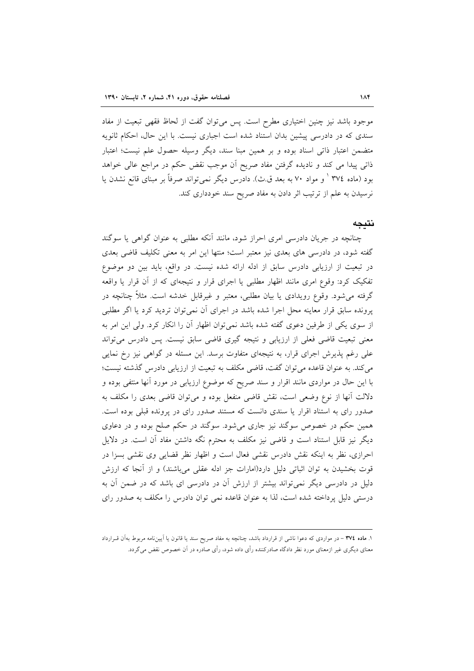موجود باشد نیز چنین اختیاری مطرح است. پس میتوان گفت از لحاظ فقهی تبعیت از مفاد سندی که در دادرسی پیشین بدان استناد شده است اجباری نیست. با این حال، احکام ثانویه متضمن اعتبار ذاتی اسناد بوده و بر همین مبنا سند، دیگر وسیله حصول علم نیست؛ اعتبار ذاتی پیدا می کند و نادیده گرفتن مفاد صریح آن موجب نقض حکم در مراجع عالی خواهد بود (ماده ٣٧٤ ' و مواد ٧٠ به بعد ق ث). دادرس ديگر نمي تواند صرفاً بر مبناي قانع نشدن يا نرسیدن به علم از ترتیب اثر دادن به مفاد صریح سند خودداری کند.

### نتىحە

چنانچه در جریان دادرسی امری احراز شود، مانند آنکه مطلبی به عنوان گواهی یا سوگند گفته شود، در دادرسی های بعدی نیز معتبر است؛ منتها این امر به معنی تکلیف قاضی بعدی در تبعیت از ارزیابی دادرس سابق از ادله ارائه شده نیست. در واقع، باید بین دو موضوع تفکیک کرد: وقوع امری مانند اظهار مطلبی یا اجرای قرار و نتیجهای که از آن قرار یا واقعه گرفته می شود. وقوع رویدادی یا بیان مطلبی، معتبر و غیرقابل خدشه است. مثلاً چنانچه در پرونده سابق قرار معاینه محل اجرا شده باشد در اجرای آن نمیتوان تردید کرد یا اگر مطلبی از سوی یکی از طرفین دعوی گفته شده باشد نمیتوان اظهار آن را انکار کرد. ولی این امر به معنی تبعیت قاضی فعلی از ارزیابی و نتیجه گیری قاضی سابق نیست. پس دادرس می تواند علی رغم پذیرش اجرای قرار، به نتیجهای متفاوت برسد. این مسئله در گواهی نیز رخ نمایی می کند. به عنوان قاعده می توان گفت، قاضی مکلف به تبعیت از ارزیابی دادرس گذشته نیست؛ با این حال در مواردی مانند اقرار و سند صریح که موضوع ارزیابی در مورد آنها منتفی بوده و دلالت آنها از نوع وضعی است، نقش قاضی منفعل بوده و میتوان قاضی بعدی را مکلف به صدور رای به استناد اقرار یا سندی دانست که مستند صدور رای در پرونده قبلی بوده است. همین حکم در خصوص سوگند نیز جاری میشود. سوگند در حکم صلح بوده و در دعاوی دیگر نیز قابل استناد است و قاضی نیز مکلف به محترم نگه داشتن مفاد آن است. در دلایل احرازی، نظر به اینکه نقش دادرس نقشی فعال است و اظهار نظر قضایی وی نقشی بسزا در قوت بخشیدن به توان اثباتی دلیل دارد(امارات جز ادله عقلی میباشند) و از آنجا که ارزش دلیل در دادرسی دیگر نمیتواند بیشتر از ارزش آن در دادرسی ای باشد که در ضمن آن به درستی دلیل پرداخته شده است، لذا به عنوان قاعده نمی توان دادرس را مکلف به صدور رای

۱. ماده ۳۷٤ - در مواردی که دعوا ناشی از قرارداد باشد، چنانچه به مفاد صریح سند یا قانون یا آییننامه مربوط بهآن قـرارداد معنای دیگری غیر ازمعنای مورد نظر دادگاه صادرکننده رأی داده شود، رأی صادره در آن خصوص نقض میگردد.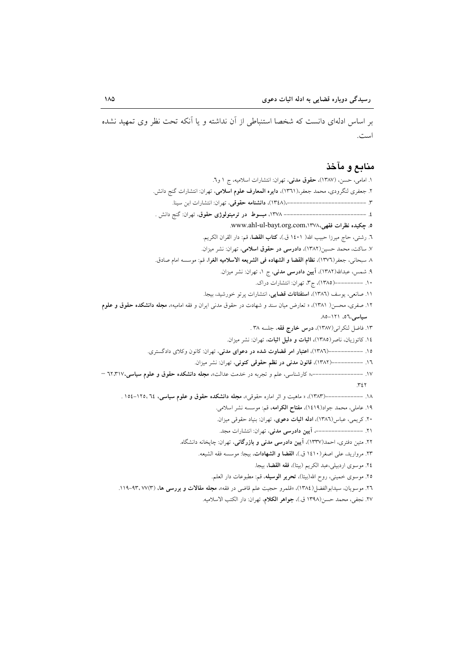بر اساس ادلهای دانست که شخصا استنباطی از آن نداشته و یا آنکه تحت نظر وی تمهید نشده است.

### منابع و مآخذ

١. امامي، حسن، (١٣٨٧)، حقوق مدني، تهران: انتشارات اسلاميه، ج ١ و٦. ٢. جعفري لنگرودي، محمد جعفر،(١٣٦١)، دايره المعارف علوم اسلامي، تهران: انتشارات گنج دانش. ٤. ----------------------------- ١٣٧٨، مبسوط در ترمینولوژی حقوق، تهران: گنج دانش . ٥. چكيده نظرات فقهي،١٣٧٨، www.ahl-ul-bayt.org.com. ٦. رشتي، حاج ميرزا حبيب الله( ١٤٠١ ق.)، كتاب القضا، قم: دار القران الكريم. ٧. ساكت، محمد حسين(١٣٨٢)، دادرسي در حقوق اسلامي، تهران: نشر ميزان. ٨ سبحاني، جعفر(١٣٧٦)، نظام القضا و الشهاده في الشريعه الاسلاميه الغرا، قم: موسسه امام صادق. ۹. شمس، عبدالله(۱۳۸۲)، آیین دادرسی مدنی، ج ۱، تهران: نشر میزان. ۱۰. ----------(۱۳۸۵)، ج۳، تهران: انتشارات دراک. ١١. صانعي، يوسف (١٣٨٦)، ا**ستفتائات قضايي**، انتشارات پرتو خورشيد، بيجا. ۱۲. صفری، محسن( ۱۳۸۱)، « تعارض میان سند و شهادت در حقوق مدنی ایران و فقه امامیه»، مجله دانشکده حقوق و علوم سیاسی،٥٦، ١٢١-٨٥. ١٣. فاضل لنكراني(١٣٨٧)، درس خارج فقه، جلسه ٣٨ . ١٤. كاتوزيان، ناصر(١٣٨٥)، اثبات و دليل اثبات، تهران: نشر ميزان. ۱۵. --------------(۱۳۸۲)، اعتبار امر قضاوت شده در دعوای مدنی، تهران: کانون وکلای دادگستری. ۱٦. ------------(۱۳۸۲)، قانون مدنی در نظم حقوقی کنونی، تهران: نشر میزان.  $\mathcal{M}$ ١٩. عاملي، محمد جواد(١٤١٩)، مفتاح الكرامه، قم: موسسه نشر اسلامي. ۲۰. کریمی، عباس(۱۳۸٦)، ادله اثبات دعوی، تهران: بنیاد حقوقی میزان. ٢١. ---------------- آيين دادرسي مدني، تهران: انتشارات مجد. ۲۲. متین دفتری، احمد(۱۳۳۷)، آیین **دادرسی مدنی و بازرگانی**، تهران: چایخانه دانشگاه. ٢٣. مرواريد، على اصغر (١٤١٠ ق.)، القضا و الشهادات، بيجا: موسسه فقه الشيعه. ٢٤. موسوى اردبيلي،عبد الكريم (بيتا)، فقه القضا، بيجا. ٢٥. موسوى خميني، روح الله(بيتا)، تحرير الوسيله، قم: مطبوعات دار العلم. ٢٦. موسويان، سيدابوالفضل(١٣٨٤)، «قلمرو حجيت علم قاضي در فقه»، مجله مقالات و بررسي ها، (٣)٧٧، ٩٣-١١٩. ٢٧. نجفي، محمد حسن(١٣٩٨ ق.)، جواهر الكلام، تهران: دار الكتب الاسلاميه.